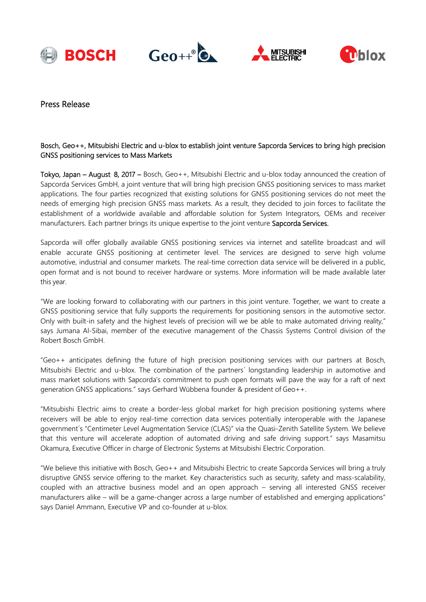







# Press Release

## Bosch, Geo++, Mitsubishi Electric and u-blox to establish joint venture Sapcorda Services to bring high precision GNSS positioning services to Mass Markets

Tokyo, Japan – August 8, 2017 – Bosch, Geo++, Mitsubishi Electric and u-blox today announced the creation of Sapcorda Services GmbH, a joint venture that will bring high precision GNSS positioning services to mass market applications. The four parties recognized that existing solutions for GNSS positioning services do not meet the needs of emerging high precision GNSS mass markets. As a result, they decided to join forces to facilitate the establishment of a worldwide available and affordable solution for System Integrators, OEMs and receiver manufacturers. Each partner brings its unique expertise to the joint venture Sapcorda Services.

Sapcorda will offer globally available GNSS positioning services via internet and satellite broadcast and will enable accurate GNSS positioning at centimeter level. The services are designed to serve high volume automotive, industrial and consumer markets. The real-time correction data service will be delivered in a public, open format and is not bound to receiver hardware or systems. More information will be made available later this year.

"We are looking forward to collaborating with our partners in this joint venture. Together, we want to create a GNSS positioning service that fully supports the requirements for positioning sensors in the automotive sector. Only with built-in safety and the highest levels of precision will we be able to make automated driving reality," says Jumana Al-Sibai, member of the executive management of the Chassis Systems Control division of the Robert Bosch GmbH.

"Geo++ anticipates defining the future of high precision positioning services with our partners at Bosch, Mitsubishi Electric and u-blox. The combination of the partners´ longstanding leadership in automotive and mass market solutions with Sapcorda's commitment to push open formats will pave the way for a raft of next generation GNSS applications." says Gerhard Wübbena founder & president of Geo++.

"Mitsubishi Electric aims to create a border-less global market for high precision positioning systems where receivers will be able to enjoy real-time correction data services potentially interoperable with the Japanese government´s "Centimeter Level Augmentation Service (CLAS)" via the Quasi-Zenith Satellite System. We believe that this venture will accelerate adoption of automated driving and safe driving support." says Masamitsu Okamura, Executive Officer in charge of Electronic Systems at Mitsubishi Electric Corporation.

"We believe this initiative with Bosch, Geo++ and Mitsubishi Electric to create Sapcorda Services will bring a truly disruptive GNSS service offering to the market. Key characteristics such as security, safety and mass-scalability, coupled with an attractive business model and an open approach – serving all interested GNSS receiver manufacturers alike – will be a game-changer across a large number of established and emerging applications" says Daniel Ammann, Executive VP and co-founder at u-blox.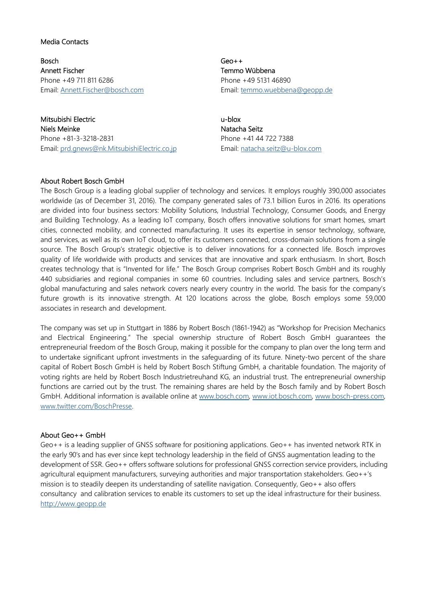## Media Contacts

Bosch Geo++ Annett Fischer Temmo Wübbena Phone +49 711 811 6286 Phone +49 5131 46890

Mitsubishi Electric u-blox Niels Meinke Natacha Seitz Phone +81-3-3218-2831 Phone +41 44 722 7388 Email: prd.gnews@nk.MitsubishiElectric.co.jp Email: natacha.seitz@u-blox.com

Email: Annett.Fischer@bosch.com Email: temmo.wuebbena@geopp.de

## About Robert Bosch GmbH

The Bosch Group is a leading global supplier of technology and services. It employs roughly 390,000 associates worldwide (as of December 31, 2016). The company generated sales of 73.1 billion Euros in 2016. Its operations are divided into four business sectors: Mobility Solutions, Industrial Technology, Consumer Goods, and Energy and Building Technology. As a leading IoT company, Bosch offers innovative solutions for smart homes, smart cities, connected mobility, and connected manufacturing. It uses its expertise in sensor technology, software, and services, as well as its own IoT cloud, to offer its customers connected, cross-domain solutions from a single source. The Bosch Group's strategic objective is to deliver innovations for a connected life. Bosch improves quality of life worldwide with products and services that are innovative and spark enthusiasm. In short, Bosch creates technology that is "Invented for life." The Bosch Group comprises Robert Bosch GmbH and its roughly 440 subsidiaries and regional companies in some 60 countries. Including sales and service partners, Bosch's global manufacturing and sales network covers nearly every country in the world. The basis for the company's future growth is its innovative strength. At 120 locations across the globe, Bosch employs some 59,000 associates in research and development.

The company was set up in Stuttgart in 1886 by Robert Bosch (1861-1942) as "Workshop for Precision Mechanics and Electrical Engineering." The special ownership structure of Robert Bosch GmbH guarantees the entrepreneurial freedom of the Bosch Group, making it possible for the company to plan over the long term and to undertake significant upfront investments in the safeguarding of its future. Ninety-two percent of the share capital of Robert Bosch GmbH is held by Robert Bosch Stiftung GmbH, a charitable foundation. The majority of voting rights are held by Robert Bosch Industrietreuhand KG, an industrial trust. The entrepreneurial ownership functions are carried out by the trust. The remaining shares are held by the Bosch family and by Robert Bosch GmbH. Additional information is available online at www.bosch.com, www.iot.bosch.com, www.bosch-press.com, www.twitter.com/BoschPresse.

#### About Geo++ GmbH

Geo++ is a leading supplier of GNSS software for positioning applications. Geo++ has invented network RTK in the early 90's and has ever since kept technology leadership in the field of GNSS augmentation leading to the development of SSR. Geo++ offers software solutions for professional GNSS correction service providers, including agricultural equipment manufacturers, surveying authorities and major transportation stakeholders. Geo++'s mission is to steadily deepen its understanding of satellite navigation. Consequently, Geo++ also offers consultancy and calibration services to enable its customers to set up the ideal infrastructure for their business. http://www.geopp.de